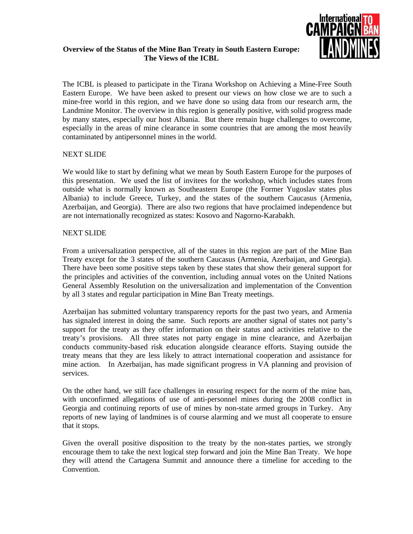# **Overview of the Status of the Mine Ban Treaty in South Eastern Europe: The Views of the ICBL**



The ICBL is pleased to participate in the Tirana Workshop on Achieving a Mine-Free South Eastern Europe. We have been asked to present our views on how close we are to such a mine-free world in this region, and we have done so using data from our research arm, the Landmine Monitor. The overview in this region is generally positive, with solid progress made by many states, especially our host Albania. But there remain huge challenges to overcome, especially in the areas of mine clearance in some countries that are among the most heavily contaminated by antipersonnel mines in the world.

## NEXT SLIDE

We would like to start by defining what we mean by South Eastern Europe for the purposes of this presentation. We used the list of invitees for the workshop, which includes states from outside what is normally known as Southeastern Europe (the Former Yugoslav states plus Albania) to include Greece, Turkey, and the states of the southern Caucasus (Armenia, Azerbaijan, and Georgia). There are also two regions that have proclaimed independence but are not internationally recognized as states: Kosovo and Nagorno-Karabakh.

## NEXT SLIDE

From a universalization perspective, all of the states in this region are part of the Mine Ban Treaty except for the 3 states of the southern Caucasus (Armenia, Azerbaijan, and Georgia). There have been some positive steps taken by these states that show their general support for the principles and activities of the convention, including annual votes on the United Nations General Assembly Resolution on the universalization and implementation of the Convention by all 3 states and regular participation in Mine Ban Treaty meetings.

Azerbaijan has submitted voluntary transparency reports for the past two years, and Armenia has signaled interest in doing the same. Such reports are another signal of states not party's support for the treaty as they offer information on their status and activities relative to the treaty's provisions. All three states not party engage in mine clearance, and Azerbaijan conducts community-based risk education alongside clearance efforts. Staying outside the treaty means that they are less likely to attract international cooperation and assistance for mine action. In Azerbaijan, has made significant progress in VA planning and provision of services.

On the other hand, we still face challenges in ensuring respect for the norm of the mine ban, with unconfirmed allegations of use of anti-personnel mines during the 2008 conflict in Georgia and continuing reports of use of mines by non-state armed groups in Turkey. Any reports of new laying of landmines is of course alarming and we must all cooperate to ensure that it stops.

Given the overall positive disposition to the treaty by the non-states parties, we strongly encourage them to take the next logical step forward and join the Mine Ban Treaty. We hope they will attend the Cartagena Summit and announce there a timeline for acceding to the Convention.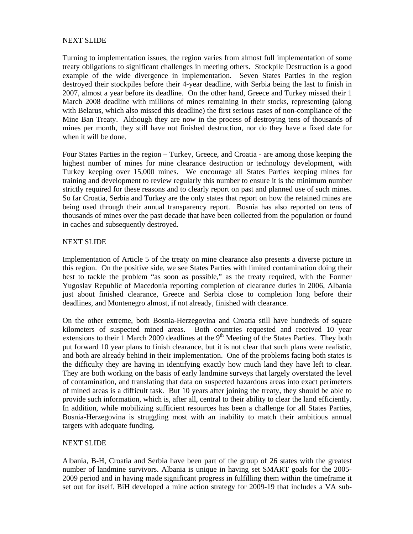### NEXT SLIDE

Turning to implementation issues, the region varies from almost full implementation of some treaty obligations to significant challenges in meeting others. Stockpile Destruction is a good example of the wide divergence in implementation. Seven States Parties in the region destroyed their stockpiles before their 4-year deadline, with Serbia being the last to finish in 2007, almost a year before its deadline. On the other hand, Greece and Turkey missed their 1 March 2008 deadline with millions of mines remaining in their stocks, representing (along with Belarus, which also missed this deadline) the first serious cases of non-compliance of the Mine Ban Treaty. Although they are now in the process of destroying tens of thousands of mines per month, they still have not finished destruction, nor do they have a fixed date for when it will be done.

Four States Parties in the region – Turkey, Greece, and Croatia - are among those keeping the highest number of mines for mine clearance destruction or technology development, with Turkey keeping over 15,000 mines. We encourage all States Parties keeping mines for training and development to review regularly this number to ensure it is the minimum number strictly required for these reasons and to clearly report on past and planned use of such mines. So far Croatia, Serbia and Turkey are the only states that report on how the retained mines are being used through their annual transparency report. Bosnia has also reported on tens of thousands of mines over the past decade that have been collected from the population or found in caches and subsequently destroyed.

#### NEXT SLIDE

Implementation of Article 5 of the treaty on mine clearance also presents a diverse picture in this region. On the positive side, we see States Parties with limited contamination doing their best to tackle the problem "as soon as possible," as the treaty required, with the Former Yugoslav Republic of Macedonia reporting completion of clearance duties in 2006, Albania just about finished clearance, Greece and Serbia close to completion long before their deadlines, and Montenegro almost, if not already, finished with clearance.

On the other extreme, both Bosnia-Herzegovina and Croatia still have hundreds of square kilometers of suspected mined areas. Both countries requested and received 10 year extensions to their 1 March 2009 deadlines at the  $9<sup>th</sup>$  Meeting of the States Parties. They both put forward 10 year plans to finish clearance, but it is not clear that such plans were realistic, and both are already behind in their implementation. One of the problems facing both states is the difficulty they are having in identifying exactly how much land they have left to clear. They are both working on the basis of early landmine surveys that largely overstated the level of contamination, and translating that data on suspected hazardous areas into exact perimeters of mined areas is a difficult task. But 10 years after joining the treaty, they should be able to provide such information, which is, after all, central to their ability to clear the land efficiently. In addition, while mobilizing sufficient resources has been a challenge for all States Parties, Bosnia-Herzegovina is struggling most with an inability to match their ambitious annual targets with adequate funding.

### NEXT SLIDE

Albania, B-H, Croatia and Serbia have been part of the group of 26 states with the greatest number of landmine survivors. Albania is unique in having set SMART goals for the 2005- 2009 period and in having made significant progress in fulfilling them within the timeframe it set out for itself. BiH developed a mine action strategy for 2009-19 that includes a VA sub